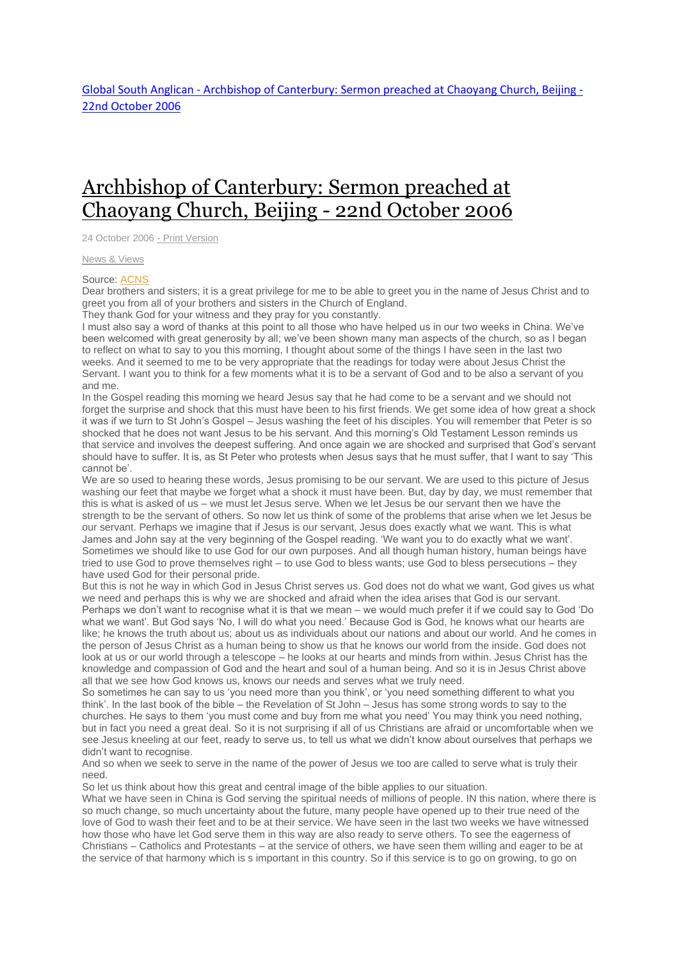## Archbishop of [Canterbury:](http://www.globalsouthanglican.org/index.php/blog/comments/archbishop_of_canterbury_sermon_preached_at_chaoyang_church_beijing_22nd_oc) Sermon preached at [Chaoyang](http://www.globalsouthanglican.org/index.php/blog/comments/archbishop_of_canterbury_sermon_preached_at_chaoyang_church_beijing_22nd_oc) Church, Beijing - 22nd October 2006

24 October 2006 - Print [Version](http://globalsouthanglican.org/index.php/blog/printing/archbishop_of_canterbury_sermon_preached_at_chaoyang_church_beijing_22nd_oc)

News & [Views](http://globalsouthanglican.org/index.php/archives/category/news_views)

## Source: [ACNS](http://www.anglicancommunion.org/acns/articles/42/00/acns4203.cfm)

Dear brothers and sisters; it is a great privilege for me to be able to greet you in the name of Jesus Christ and to greet you from all of your brothers and sisters in the Church of England.

They thank God for your witness and they pray for you constantly.

I must also say a word of thanks at this point to all those who have helped us in our two weeks in China. We've been welcomed with great generosity by all; we've been shown many man aspects of the church, so as I began to reflect on what to say to you this morning, I thought about some of the things I have seen in the last two weeks. And it seemed to me to be very appropriate that the readings for today were about Jesus Christ the Servant. I want you to think for a few moments what it is to be a servant of God and to be also a servant of you and me.

In the Gospel reading this morning we heard Jesus say that he had come to be a servant and we should not forget the surprise and shock that this must have been to his first friends. We get some idea of how great a shock it was if we turn to St John's Gospel – Jesus washing the feet of his disciples. You will remember that Peter is so shocked that he does not want Jesus to be his servant. And this morning's Old Testament Lesson reminds us that service and involves the deepest suffering. And once again we are shocked and surprised that God's servant should have to suffer. It is, as St Peter who protests when Jesus says that he must suffer, that I want to say 'This cannot be'.

We are so used to hearing these words, Jesus promising to be our servant. We are used to this picture of Jesus washing our feet that maybe we forget what a shock it must have been. But, day by day, we must remember that this is what is asked of us – we must let Jesus serve. When we let Jesus be our servant then we have the strength to be the servant of others. So now let us think of some of the problems that arise when we let Jesus be our servant. Perhaps we imagine that if Jesus is our servant, Jesus does exactly what we want. This is what James and John say at the very beginning of the Gospel reading. 'We want you to do exactly what we want'. Sometimes we should like to use God for our own purposes. And all though human history, human beings have tried to use God to prove themselves right – to use God to bless wants; use God to bless persecutions – they have used God for their personal pride.

But this is not he way in which God in Jesus Christ serves us. God does not do what we want, God gives us what we need and perhaps this is why we are shocked and afraid when the idea arises that God is our servant. Perhaps we don't want to recognise what it is that we mean – we would much prefer it if we could say to God 'Do what we want'. But God says 'No, I will do what you need.' Because God is God, he knows what our hearts are like; he knows the truth about us; about us as individuals about our nations and about our world. And he comes in the person of Jesus Christ as a human being to show us that he knows our world from the inside. God does not look at us or our world through a telescope – he looks at our hearts and minds from within. Jesus Christ has the knowledge and compassion of God and the heart and soul of a human being. And so it is in Jesus Christ above all that we see how God knows us, knows our needs and serves what we truly need.

So sometimes he can say to us 'you need more than you think', or 'you need something different to what you think'. In the last book of the bible – the Revelation of St John – Jesus has some strong words to say to the churches. He says to them 'you must come and buy from me what you need' You may think you need nothing, but in fact you need a great deal. So it is not surprising if all of us Christians are afraid or uncomfortable when we see Jesus kneeling at our feet, ready to serve us, to tell us what we didn't know about ourselves that perhaps we didn't want to recognise.

And so when we seek to serve in the name of the power of Jesus we too are called to serve what is truly their need.

So let us think about how this great and central image of the bible applies to our situation.

What we have seen in China is God serving the spiritual needs of millions of people. IN this nation, where there is so much change, so much uncertainty about the future, many people have opened up to their true need of the love of God to wash their feet and to be at their service. We have seen in the last two weeks we have witnessed how those who have let God serve them in this way are also ready to serve others. To see the eagerness of Christians – Catholics and Protestants – at the service of others, we have seen them willing and eager to be at the service of that harmony which is s important in this country. So if this service is to go on growing, to go on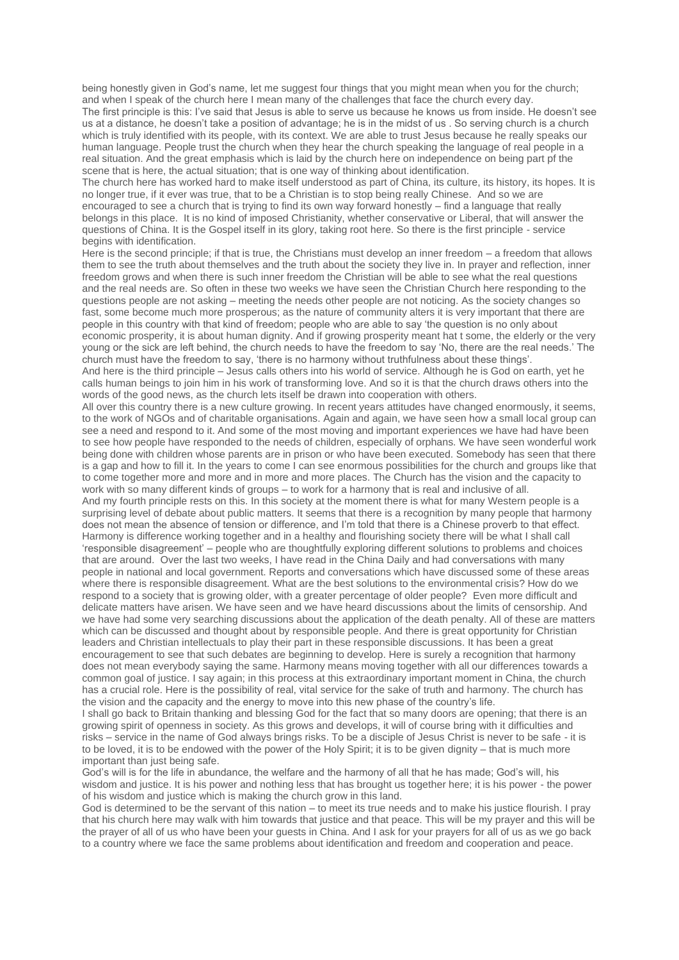being honestly given in God's name, let me suggest four things that you might mean when you for the church; and when I speak of the church here I mean many of the challenges that face the church every day. The first principle is this: I've said that Jesus is able to serve us because he knows us from inside. He doesn't see us at a distance, he doesn't take a position of advantage; he is in the midst of us . So serving church is a church which is truly identified with its people, with its context. We are able to trust Jesus because he really speaks our human language. People trust the church when they hear the church speaking the language of real people in a real situation. And the great emphasis which is laid by the church here on independence on being part pf the scene that is here, the actual situation; that is one way of thinking about identification.

The church here has worked hard to make itself understood as part of China, its culture, its history, its hopes. It is no longer true, if it ever was true, that to be a Christian is to stop being really Chinese. And so we are encouraged to see a church that is trying to find its own way forward honestly – find a language that really belongs in this place. It is no kind of imposed Christianity, whether conservative or Liberal, that will answer the questions of China. It is the Gospel itself in its glory, taking root here. So there is the first principle - service begins with identification.

Here is the second principle; if that is true, the Christians must develop an inner freedom – a freedom that allows them to see the truth about themselves and the truth about the society they live in. In prayer and reflection, inner freedom grows and when there is such inner freedom the Christian will be able to see what the real questions and the real needs are. So often in these two weeks we have seen the Christian Church here responding to the questions people are not asking – meeting the needs other people are not noticing. As the society changes so fast, some become much more prosperous; as the nature of community alters it is very important that there are people in this country with that kind of freedom; people who are able to say 'the question is no only about economic prosperity, it is about human dignity. And if growing prosperity meant hat t some, the elderly or the very young or the sick are left behind, the church needs to have the freedom to say 'No, there are the real needs.' The church must have the freedom to say, 'there is no harmony without truthfulness about these things'.

And here is the third principle – Jesus calls others into his world of service. Although he is God on earth, yet he calls human beings to join him in his work of transforming love. And so it is that the church draws others into the words of the good news, as the church lets itself be drawn into cooperation with others.

All over this country there is a new culture growing. In recent years attitudes have changed enormously, it seems, to the work of NGOs and of charitable organisations. Again and again, we have seen how a small local group can see a need and respond to it. And some of the most moving and important experiences we have had have been to see how people have responded to the needs of children, especially of orphans. We have seen wonderful work being done with children whose parents are in prison or who have been executed. Somebody has seen that there is a gap and how to fill it. In the years to come I can see enormous possibilities for the church and groups like that to come together more and more and in more and more places. The Church has the vision and the capacity to work with so many different kinds of groups – to work for a harmony that is real and inclusive of all.

And my fourth principle rests on this. In this society at the moment there is what for many Western people is a surprising level of debate about public matters. It seems that there is a recognition by many people that harmony does not mean the absence of tension or difference, and I'm told that there is a Chinese proverb to that effect. Harmony is difference working together and in a healthy and flourishing society there will be what I shall call 'responsible disagreement' – people who are thoughtfully exploring different solutions to problems and choices that are around. Over the last two weeks, I have read in the China Daily and had conversations with many people in national and local government. Reports and conversations which have discussed some of these areas where there is responsible disagreement. What are the best solutions to the environmental crisis? How do we respond to a society that is growing older, with a greater percentage of older people? Even more difficult and delicate matters have arisen. We have seen and we have heard discussions about the limits of censorship. And we have had some very searching discussions about the application of the death penalty. All of these are matters which can be discussed and thought about by responsible people. And there is great opportunity for Christian leaders and Christian intellectuals to play their part in these responsible discussions. It has been a great encouragement to see that such debates are beginning to develop. Here is surely a recognition that harmony does not mean everybody saying the same. Harmony means moving together with all our differences towards a common goal of justice. I say again; in this process at this extraordinary important moment in China, the church has a crucial role. Here is the possibility of real, vital service for the sake of truth and harmony. The church has the vision and the capacity and the energy to move into this new phase of the country's life.

I shall go back to Britain thanking and blessing God for the fact that so many doors are opening; that there is an growing spirit of openness in society. As this grows and develops, it will of course bring with it difficulties and risks – service in the name of God always brings risks. To be a disciple of Jesus Christ is never to be safe - it is to be loved, it is to be endowed with the power of the Holy Spirit; it is to be given dignity – that is much more important than just being safe.

God's will is for the life in abundance, the welfare and the harmony of all that he has made; God's will, his wisdom and justice. It is his power and nothing less that has brought us together here; it is his power - the power of his wisdom and justice which is making the church grow in this land.

God is determined to be the servant of this nation – to meet its true needs and to make his justice flourish. I pray that his church here may walk with him towards that justice and that peace. This will be my prayer and this will be the prayer of all of us who have been your guests in China. And I ask for your prayers for all of us as we go back to a country where we face the same problems about identification and freedom and cooperation and peace.